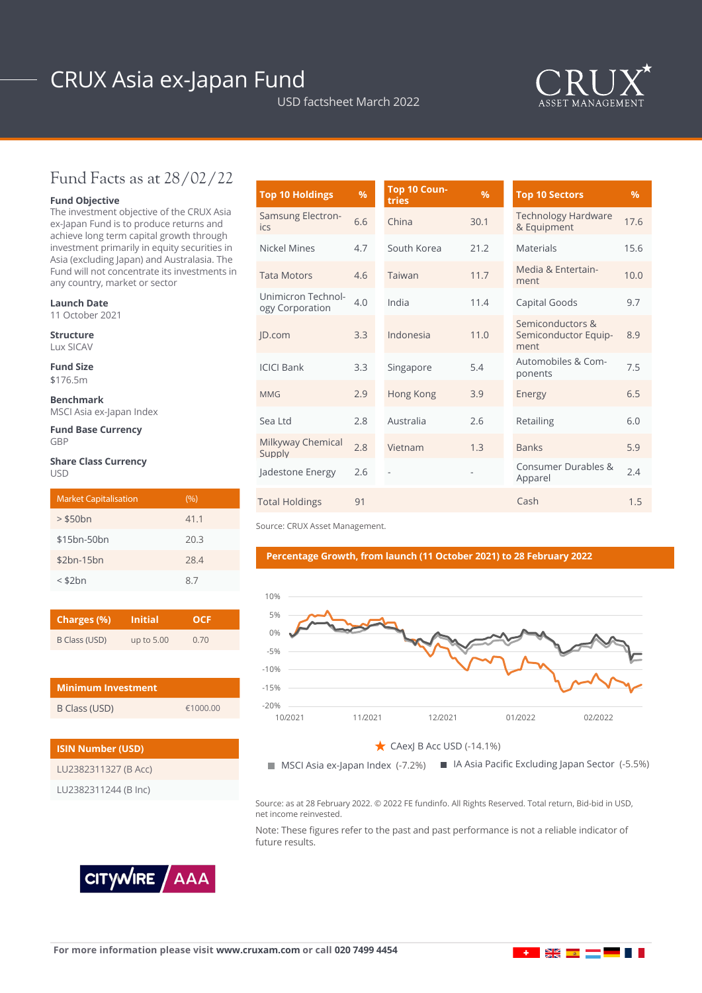# CRUX Asia ex-Japan Fund

USD factsheet March 2022



## Fund Facts as at 28/02/22

### **Fund Objective**

The investment objective of the CRUX Asia ex-Japan Fund is to produce returns and achieve long term capital growth through investment primarily in equity securities in Asia (excluding Japan) and Australasia. The Fund will not concentrate its investments in any country, market or sector

#### **Launch Date**

11 October 2021

**Structure** Lux SICAV

**Fund Size**

\$176.5m

**Benchmark** MSCI Asia ex-Japan Index

**Fund Base Currency** GBP

#### **Share Class Currency** USD

| <b>Market Capitalisation</b> | (9/0) |
|------------------------------|-------|
| $>$ \$50 $bn$                | 41.1  |
| \$15bn-50bn                  | 20.3  |
| $$2bn-15bn$                  | 28.4  |
| $<$ \$2 $bn$                 | 87    |

| Charges (%)   | <b>Initial</b> | <b>OCF</b> |  |  |
|---------------|----------------|------------|--|--|
| B Class (USD) | up to 5.00     | 0.70       |  |  |

| <b>Minimum Investment</b> |          |  |  |  |
|---------------------------|----------|--|--|--|
| B Class (USD)             | £1000.00 |  |  |  |

| <b>ISIN Number (USD)</b> |  |  |  |  |
|--------------------------|--|--|--|--|
| LU2382311327 (B Acc)     |  |  |  |  |
| LU2382311244 (B Inc)     |  |  |  |  |



| <b>Top 10 Holdings</b>                | %   | Top 10 Coun-<br>tries | %    | <b>Top 10 Sectors</b>                            | $\frac{9}{6}$ |
|---------------------------------------|-----|-----------------------|------|--------------------------------------------------|---------------|
| Samsung Electron-<br>ics              | 6.6 | China                 | 30.1 | <b>Technology Hardware</b><br>& Equipment        | 17.6          |
| Nickel Mines                          | 4.7 | South Korea<br>21.2   |      | <b>Materials</b>                                 | 15.6          |
| <b>Tata Motors</b>                    | 4.6 | Taiwan                | 11.7 | Media & Entertain-<br>ment                       | 10.0          |
| Unimicron Technol-<br>ogy Corporation | 4.0 | India                 | 11.4 | Capital Goods                                    | 9.7           |
| JD.com                                | 3.3 | Indonesia             | 11.0 | Semiconductors &<br>Semiconductor Equip-<br>ment | 8.9           |
| <b>ICICI Bank</b>                     | 3.3 | Singapore             | 5.4  | Automobiles & Com-<br>ponents                    | 7.5           |
| <b>MMG</b>                            | 2.9 | Hong Kong             | 3.9  | Energy                                           | 6.5           |
| Sea Ltd                               | 2.8 | Australia             | 2.6  | Retailing                                        | 6.0           |
| Milkyway Chemical<br>Supply           | 2.8 | Vietnam               | 1.3  | <b>Banks</b>                                     | 5.9           |
| Jadestone Energy                      | 2.6 | ÷,                    |      | Consumer Durables &<br>Apparel                   | 2.4           |
| <b>Total Holdings</b>                 | 91  |                       |      | Cash                                             | 1.5           |

Source: CRUX Asset Management.

#### **Percentage Growth, from launch (11 October 2021) to 28 February 2022**



 $\zeta$  CAexJ B Acc USD (-14.1%)

 $\blacksquare$  MSCI Asia ex-Japan Index (-7.2%) ex (−7.2%) ■ IA Asia Pacific Excluding Japan Sector (−5.5%)

Source: as at 28 February 2022. © 2022 FE fundinfo. All Rights Reserved. Total return, Bid-bid in USD, net income reinvested.

Note: These figures refer to the past and past performance is not a reliable indicator of future results.